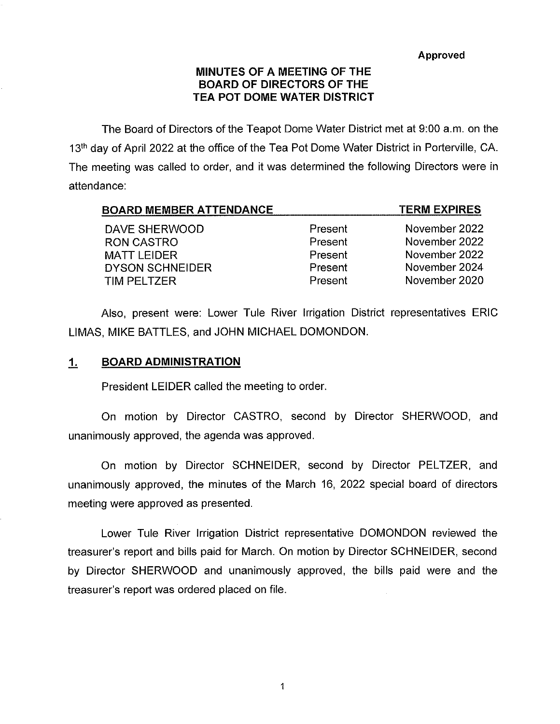Approved

# MINUTES OF A MEETING OF THE BOARD OF DIRECTORS OF THE TEA POT DOME WATER DISTRICT

The Board of Directors of the Teapot Dome Water District met at 9:00 a.m. on the 13<sup>th</sup> day of April 2022 at the office of the Tea Pot Dome Water District in Porterville, CA. The meeting was called to order, and it was determined the following Directors were in attendance:

| <b>BOARD MEMBER ATTENDANCE</b> |         | <b>TERM EXPIRES</b> |
|--------------------------------|---------|---------------------|
| DAVE SHERWOOD                  | Present | November 2022       |
| <b>RON CASTRO</b>              | Present | November 2022       |
| <b>MATT LEIDER</b>             | Present | November 2022       |
| <b>DYSON SCHNEIDER</b>         | Present | November 2024       |
| <b>TIM PELTZER</b>             | Present | November 2020       |

Also, present were: Lower Tule River Irrigation District representatives ERIC LIMAS, MIKE BATTLES, and JOHN MICHAEL DOMONDON.

# 1. BOARD ADMINISTRATION

President LEIDER called the meeting to order.

On motion by Director CASTRO, second by Director SHERWOOD, and unanimously approved, the agenda was approved.

On motion by Director SCHNEIDER, second by Director PELTZER, and unanimously approved, the minutes of the March 16, 2022 special board of directors meeting were approved as presented.

Lower Tule River Irrigation District representative DOMONDON reviewed the treasurer's report and bills paid for March. On motion by Director SCHNEIDER, second by Director SHERWOOD and unanimously approved, the bills paid were and the treasurer's report was ordered placed on file.

1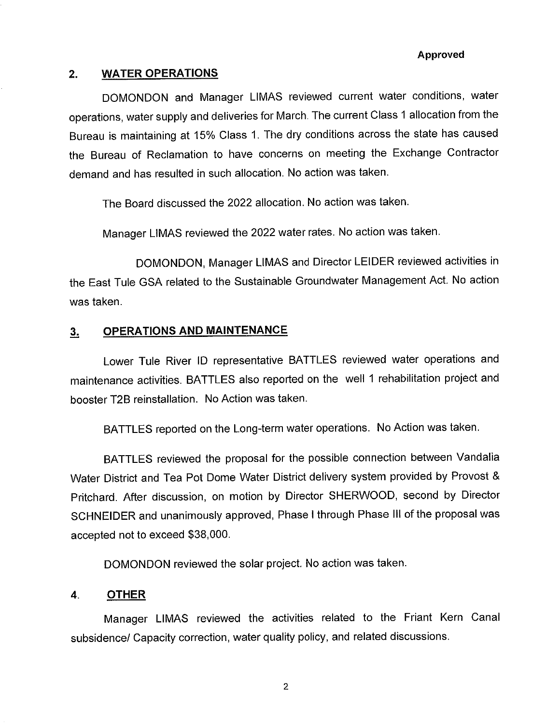#### Approved

## 2. WATER OPERATIONS

DOMONDON and Manager LIMAS reviewed current water conditions, water operations, water supply and deliveries for March. The current Class 1 allocation from the Bureau is maintaining at 15% Class 1. The dry conditions across the state has caused the Bureau of Reclamation to have concerns on meeting the Exchange Contractor demand and has resulted in such allocation. No action was taken.

The Board discussed the 2022 allocation. No action was taken.

Manager LIMAS reviewed the 2022 water rates. No action was taken.

DOMONDON, Manager LIMAS and Director LEIDER reviewed activities in the East Tuie GSA related to the Sustainable Groundwater Management Act. No action was taken.

## 3, OPERATIONS AND MAINTENANCE

Lower Tule River ID representative BATTLES reviewed water operations and maintenance activities. BATTLES also reported on the well 1 rehabilitation project and booster T2B reinstailation. No Action was taken.

BATTLES reported on the Long-term water operations. No Action was taken.

BATTLES reviewed the proposal for the possible connection between Vandalia Water District and Tea Pot Dome Water District delivery system provided by Provost & Pritchard. After discussion, on motion by Director SHERWOOD, second by Director SCHNEIDER and unanimously approved, Phase I through Phase III of the proposal was accepted not to exceed \$38,000.

DOMONDON reviewed the solar project. No action was taken.

### 4. OTHER

Manager LIMAS reviewed the activities related to the Friant Kern Canal subsidence/ Capacity correction, water quality policy, and related discussions.

 $\overline{2}$